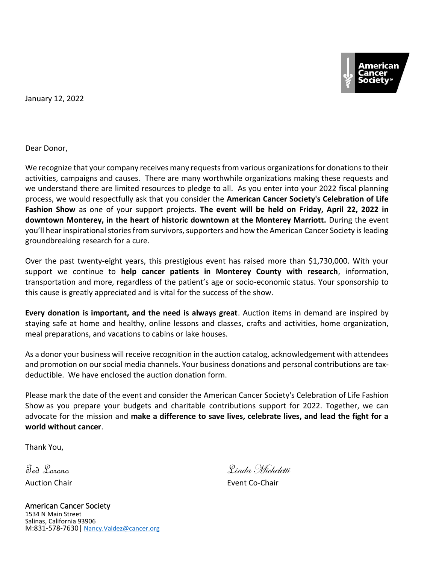January 12, 2022

Dear Donor,

We recognize that your company receives many requests from various organizations for donations to their activities, campaigns and causes. There are many worthwhile organizations making these requests and we understand there are limited resources to pledge to all. As you enter into your 2022 fiscal planning process, we would respectfully ask that you consider the **American Cancer Society's Celebration of Life Fashion Show** as one of your support projects. **The event will be held on Friday, April 22, 2022 in downtown Monterey, in the heart of historic downtown at the Monterey Marriott.** During the event you'll hear inspirational stories from survivors, supporters and how the American Cancer Society is leading groundbreaking research for a cure.

Over the past twenty-eight years, this prestigious event has raised more than \$1,730,000. With your support we continue to **help cancer patients in Monterey County with research**, information, transportation and more, regardless of the patient's age or socio-economic status. Your sponsorship to this cause is greatly appreciated and is vital for the success of the show.

**Every donation is important, and the need is always great**. Auction items in demand are inspired by staying safe at home and healthy, online lessons and classes, crafts and activities, home organization, meal preparations, and vacations to cabins or lake houses.

As a donor your business will receive recognition in the auction catalog, acknowledgement with attendees and promotion on our social media channels. Your business donations and personal contributions are taxdeductible. We have enclosed the auction donation form.

Please mark the date of the event and consider the American Cancer Society's Celebration of Life Fashion Show as you prepare your budgets and charitable contributions support for 2022. Together, we can advocate for the mission and **make a difference to save lives, celebrate lives, and lead the fight for a world without cancer**.

Thank You,

Ted Lorono Linda Micheletti Auction Chair **Event Co-Chair Event Co-Chair** 

American Cancer Society 1534 N Main Street Salinas, California 93906 M:831-578-7630| [Nancy.Valdez@cancer.org](mailto:Nancy.Valdez@cancer.org)